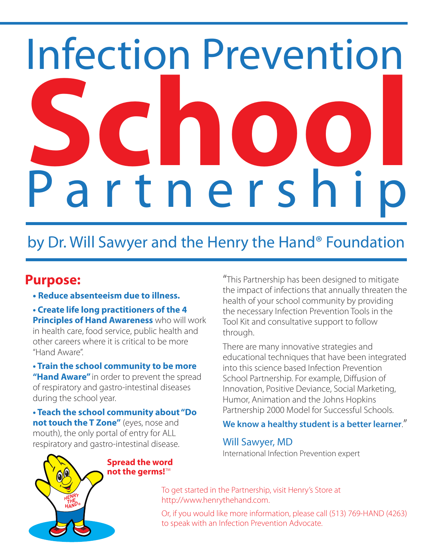# Infection Prevention P a r t n e r s h i p **School**

# by Dr. Will Sawyer and the Henry the Hand® Foundation

# **Purpose:**

• **Reduce absenteeism due to illness.**

**• Create life long practitioners of the 4 Principles of Hand Awareness** who will work in health care, food service, public health and other careers where it is critical to be more "Hand Aware".

**• Train the school community to be more "Hand Aware"** in order to prevent the spread of respiratory and gastro-intestinal diseases during the school year.

**• Teach the school community about "Do not touch the T Zone"** (eyes, nose and mouth), the only portal of entry for ALL respiratory and gastro-intestinal disease.

"This Partnership has been designed to mitigate the impact of infections that annually threaten the health of your school community by providing the necessary Infection Prevention Tools in the Tool Kit and consultative support to follow through.

There are many innovative strategies and educational techniques that have been integrated into this science based Infection Prevention School Partnership. For example, Diffusion of Innovation, Positive Deviance, Social Marketing, Humor, Animation and the Johns Hopkins Partnership 2000 Model for Successful Schools.

### **We know a healthy student is a better learner**."

### Will Sawyer, MD

International Infection Prevention expert



To get started in the Partnership, visit Henry's Store at http://www.henrythehand.com.

Or, if you would like more information, please call (513) 769-HAND (4263) to speak with an Infection Prevention Advocate.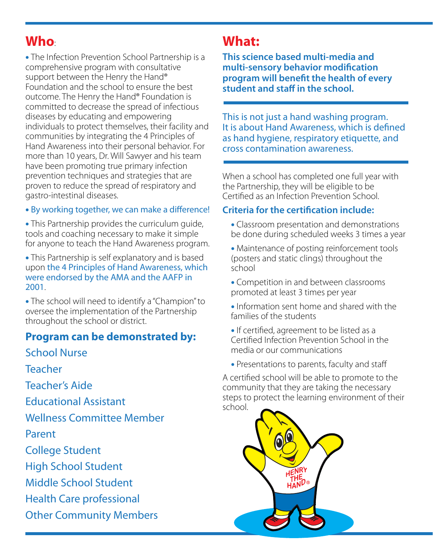# **Who**:

• The Infection Prevention School Partnership is a comprehensive program with consultative support between the Henry the Hand® Foundation and the school to ensure the best outcome. The Henry the Hand® Foundation is committed to decrease the spread of infectious diseases by educating and empowering individuals to protect themselves, their facility and communities by integrating the 4 Principles of Hand Awareness into their personal behavior. For more than 10 years, Dr. Will Sawyer and his team have been promoting true primary infection prevention techniques and strategies that are proven to reduce the spread of respiratory and gastro-intestinal diseases.

### • By working together, we can make a difference!

• This Partnership provides the curriculum guide, tools and coaching necessary to make it simple for anyone to teach the Hand Awareness program.

• This Partnership is self explanatory and is based upon the 4 Principles of Hand Awareness, which were endorsed by the AMA and the AAFP in 2001.

• The school will need to identify a "Champion" to oversee the implementation of the Partnership throughout the school or district.

# **Program can be demonstrated by:**

School Nurse

Teacher

Teacher's Aide

Educational Assistant

Wellness Committee Member

Parent

College Student

High School Student

Middle School Student

Health Care professional

Other Community Members

# **What:**

**This science based multi-media and multi-sensory behavior modification program will benefit the health of every** student and staff in the school.

This is not just a hand washing program. It is about Hand Awareness, which is defined as hand hygiene, respiratory etiquette, and cross contamination awareness.

When a school has completed one full year with the Partnership, they will be eligible to be Certified as an Infection Prevention School.

# **Criteria for the certification include:**

- Classroom presentation and demonstrations be done during scheduled weeks 3 times a year
- Maintenance of posting reinforcement tools (posters and static clings) throughout the school
- Competition in and between classrooms promoted at least 3 times per year
- Information sent home and shared with the families of the students
- If certified, agreement to be listed as a Certified Infection Prevention School in the media or our communications
- Presentations to parents, faculty and staff

A certified school will be able to promote to the community that they are taking the necessary steps to protect the learning environment of their school.

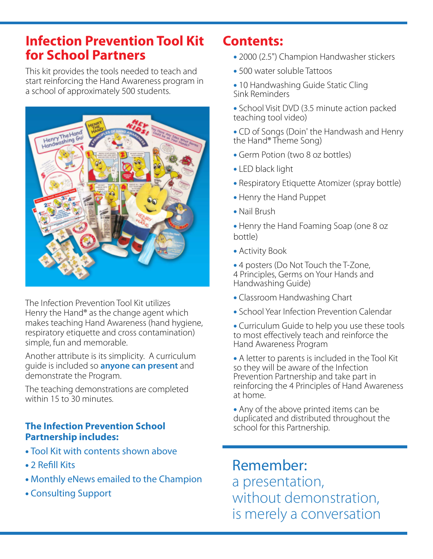# **Infection Prevention Tool Kit for School Partners**

This kit provides the tools needed to teach and start reinforcing the Hand Awareness program in a school of approximately 500 students.



The Infection Prevention Tool Kit utilizes Henry the Hand® as the change agent which makes teaching Hand Awareness (hand hygiene, respiratory etiquette and cross contamination) simple, fun and memorable.

Another attribute is its simplicity. A curriculum guide is included so **anyone can present** and demonstrate the Program.

The teaching demonstrations are completed within 15 to 30 minutes.

# **The Infection Prevention School Partnership includes:**

- Tool Kit with contents shown above
- 2 Refill Kits
- Monthly eNews emailed to the Champion
- Consulting Support

# **Contents:**

- 2000 (2.5") Champion Handwasher stickers
- 500 water soluble Tattoos
- 10 Handwashing Guide Static Cling Sink Reminders
- School Visit DVD (3.5 minute action packed teaching tool video)
- CD of Songs (Doin' the Handwash and Henry the Hand® Theme Song)
- Germ Potion (two 8 oz bottles)
- LED black light
- Respiratory Etiquette Atomizer (spray bottle)
- Henry the Hand Puppet
- Nail Brush
- Henry the Hand Foaming Soap (one 8 oz bottle)
- Activity Book
- 4 posters (Do Not Touch the T-Zone,
- 4 Principles, Germs on Your Hands and Handwashing Guide)
- Classroom Handwashing Chart
- School Year Infection Prevention Calendar
- Curriculum Guide to help you use these tools to most effectively teach and reinforce the Hand Awareness Program

• A letter to parents is included in the Tool Kit so they will be aware of the Infection Prevention Partnership and take part in reinforcing the 4 Principles of Hand Awareness at home.

• Any of the above printed items can be duplicated and distributed throughout the school for this Partnership.

# Remember:

a presentation, without demonstration, is merely a conversation